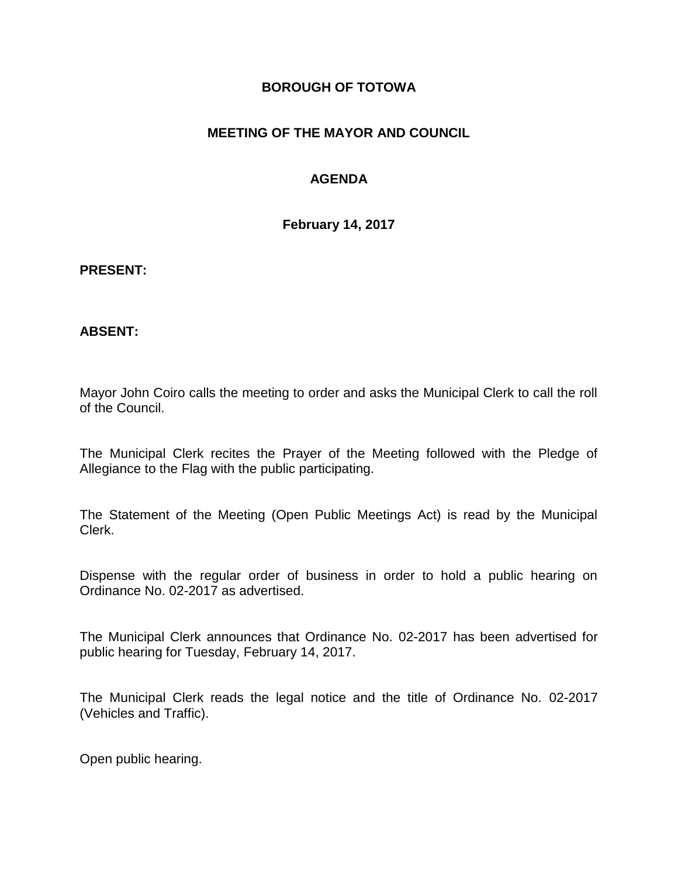### **BOROUGH OF TOTOWA**

## **MEETING OF THE MAYOR AND COUNCIL**

## **AGENDA**

**February 14, 2017**

#### **PRESENT:**

### **ABSENT:**

Mayor John Coiro calls the meeting to order and asks the Municipal Clerk to call the roll of the Council.

The Municipal Clerk recites the Prayer of the Meeting followed with the Pledge of Allegiance to the Flag with the public participating.

The Statement of the Meeting (Open Public Meetings Act) is read by the Municipal Clerk.

Dispense with the regular order of business in order to hold a public hearing on Ordinance No. 02-2017 as advertised.

The Municipal Clerk announces that Ordinance No. 02-2017 has been advertised for public hearing for Tuesday, February 14, 2017.

The Municipal Clerk reads the legal notice and the title of Ordinance No. 02-2017 (Vehicles and Traffic).

Open public hearing.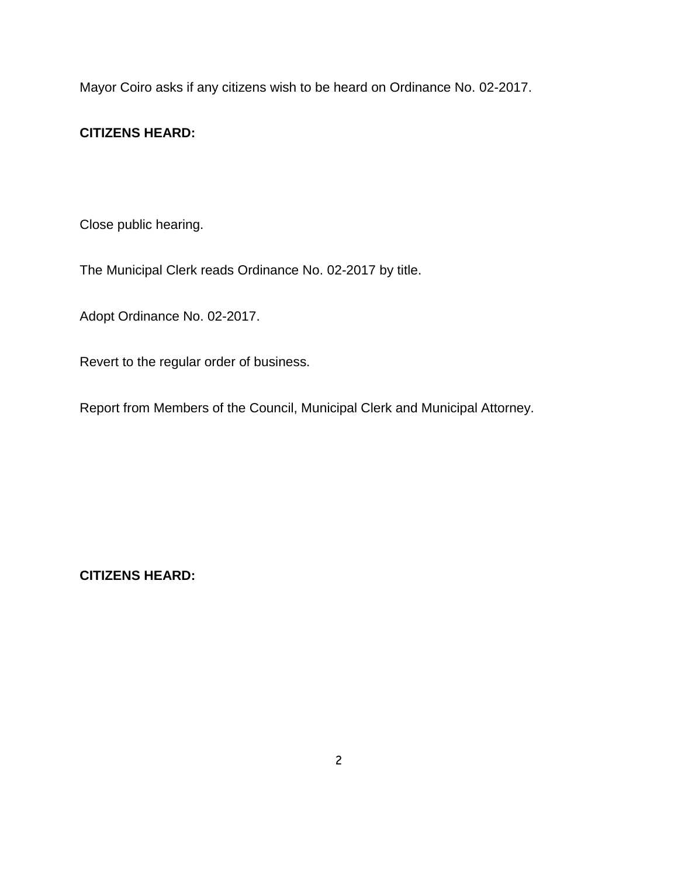Mayor Coiro asks if any citizens wish to be heard on Ordinance No. 02-2017.

# **CITIZENS HEARD:**

Close public hearing.

The Municipal Clerk reads Ordinance No. 02-2017 by title.

Adopt Ordinance No. 02-2017.

Revert to the regular order of business.

Report from Members of the Council, Municipal Clerk and Municipal Attorney.

**CITIZENS HEARD:**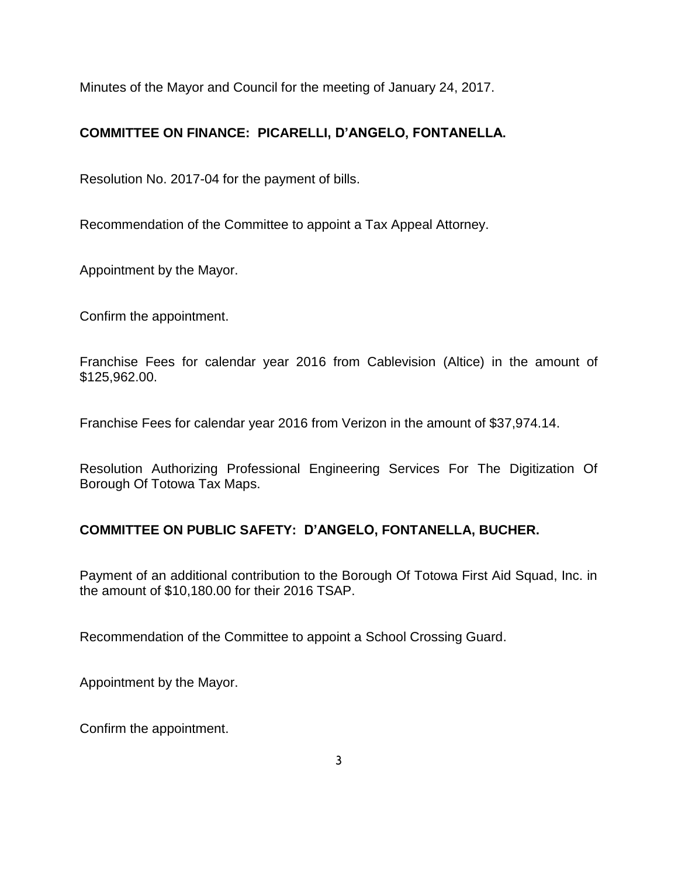Minutes of the Mayor and Council for the meeting of January 24, 2017.

# **COMMITTEE ON FINANCE: PICARELLI, D'ANGELO, FONTANELLA.**

Resolution No. 2017-04 for the payment of bills.

Recommendation of the Committee to appoint a Tax Appeal Attorney.

Appointment by the Mayor.

Confirm the appointment.

Franchise Fees for calendar year 2016 from Cablevision (Altice) in the amount of \$125,962.00.

Franchise Fees for calendar year 2016 from Verizon in the amount of \$37,974.14.

Resolution Authorizing Professional Engineering Services For The Digitization Of Borough Of Totowa Tax Maps.

# **COMMITTEE ON PUBLIC SAFETY: D'ANGELO, FONTANELLA, BUCHER.**

Payment of an additional contribution to the Borough Of Totowa First Aid Squad, Inc. in the amount of \$10,180.00 for their 2016 TSAP.

Recommendation of the Committee to appoint a School Crossing Guard.

Appointment by the Mayor.

Confirm the appointment.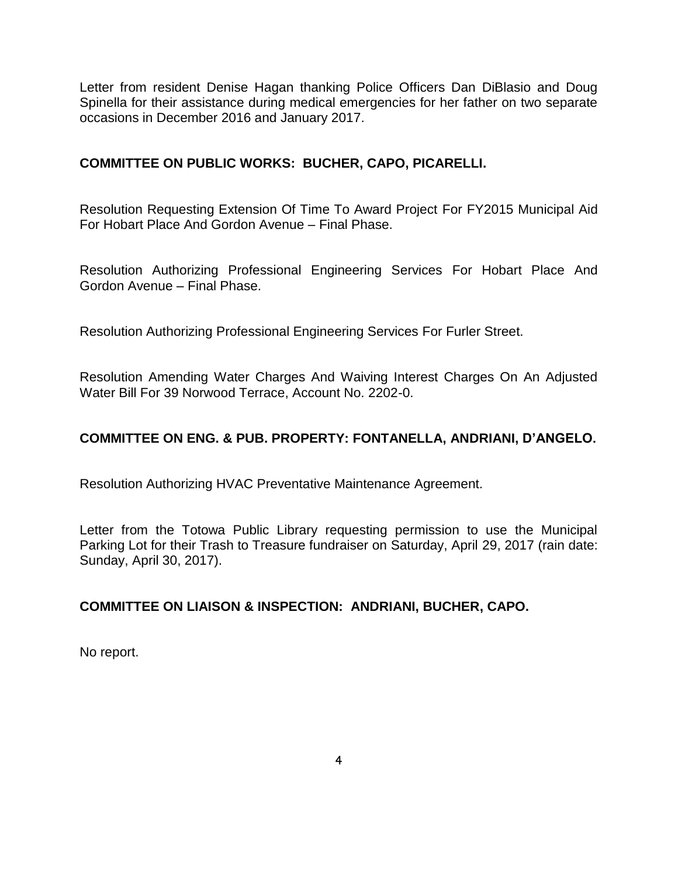Letter from resident Denise Hagan thanking Police Officers Dan DiBlasio and Doug Spinella for their assistance during medical emergencies for her father on two separate occasions in December 2016 and January 2017.

### **COMMITTEE ON PUBLIC WORKS: BUCHER, CAPO, PICARELLI.**

Resolution Requesting Extension Of Time To Award Project For FY2015 Municipal Aid For Hobart Place And Gordon Avenue – Final Phase.

Resolution Authorizing Professional Engineering Services For Hobart Place And Gordon Avenue – Final Phase.

Resolution Authorizing Professional Engineering Services For Furler Street.

Resolution Amending Water Charges And Waiving Interest Charges On An Adjusted Water Bill For 39 Norwood Terrace, Account No. 2202-0.

## **COMMITTEE ON ENG. & PUB. PROPERTY: FONTANELLA, ANDRIANI, D'ANGELO.**

Resolution Authorizing HVAC Preventative Maintenance Agreement.

Letter from the Totowa Public Library requesting permission to use the Municipal Parking Lot for their Trash to Treasure fundraiser on Saturday, April 29, 2017 (rain date: Sunday, April 30, 2017).

## **COMMITTEE ON LIAISON & INSPECTION: ANDRIANI, BUCHER, CAPO.**

No report.